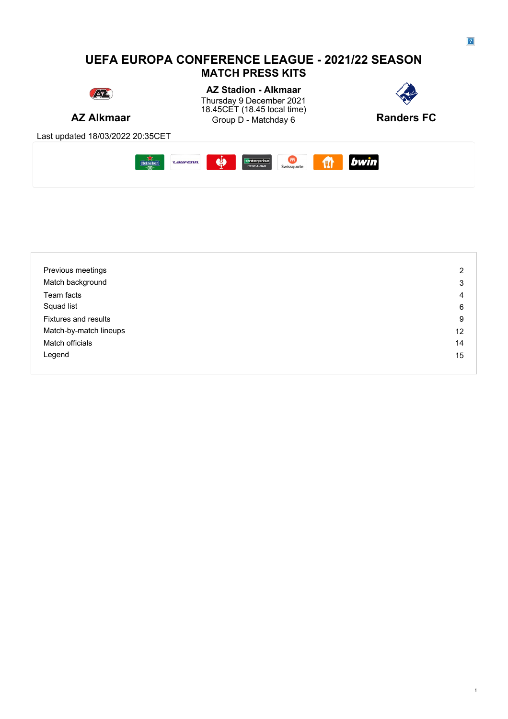### **UEFA EUROPA CONFERENCE LEAGUE - 2021/22 SEASON MATCH PRESS KITS**



**AZ Alkmaar** Group D - Matchday 6 **Randers FC AZ Stadion - Alkmaar** Thursday 9 December 2021 **Thursday 9** December 2021 18.45CET (18.45 local time)



Last updated 18/03/2022 20:35CET



| Previous meetings           | 2  |
|-----------------------------|----|
| Match background            | 3  |
| Team facts                  | 4  |
| Squad list                  | 6  |
| <b>Fixtures and results</b> | 9  |
| Match-by-match lineups      | 12 |
| Match officials             | 14 |
| Legend                      | 15 |
|                             |    |

1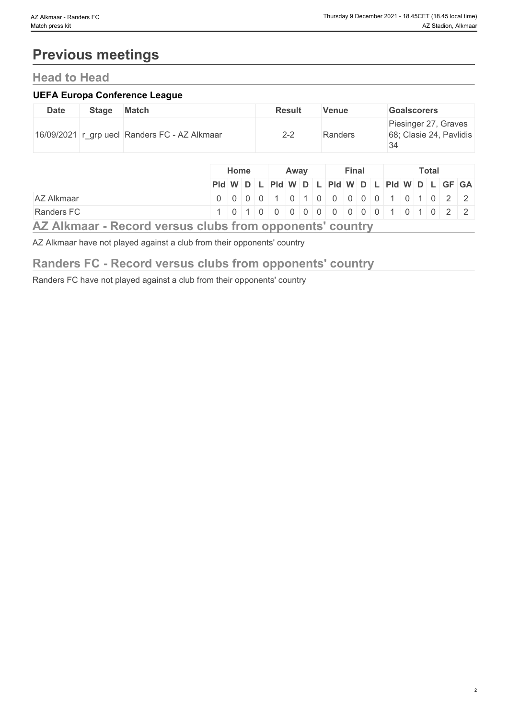# **Previous meetings**

### **Head to Head**

#### **UEFA Europa Conference League**

| <b>Date</b> | <b>Stage</b> | Match                                         | <b>Result</b> | <b>Venue</b> | <b>Goalscorers</b>                                    |
|-------------|--------------|-----------------------------------------------|---------------|--------------|-------------------------------------------------------|
|             |              | 16/09/2021 r_grp uecl Randers FC - AZ Alkmaar | $2 - 2$       | Randers      | Piesinger 27, Graves<br>68; Clasie 24, Pavlidis<br>34 |

|                                                                                                                                                                                                                                   |                                                                                                                                                                                                                                                                                                         | Home |  | Away |  | Final |  |  | <b>Total</b> |  |  |
|-----------------------------------------------------------------------------------------------------------------------------------------------------------------------------------------------------------------------------------|---------------------------------------------------------------------------------------------------------------------------------------------------------------------------------------------------------------------------------------------------------------------------------------------------------|------|--|------|--|-------|--|--|--------------|--|--|
|                                                                                                                                                                                                                                   |                                                                                                                                                                                                                                                                                                         |      |  |      |  |       |  |  |              |  |  |
|                                                                                                                                                                                                                                   | Pid W D L Pid W D L Pid W D L Pid W D L GF GA                                                                                                                                                                                                                                                           |      |  |      |  |       |  |  |              |  |  |
| <b>AZ Alkmaar</b>                                                                                                                                                                                                                 |                                                                                                                                                                                                                                                                                                         |      |  |      |  |       |  |  |              |  |  |
| Randers FC                                                                                                                                                                                                                        | $1   0   1   0   0   0   0   0   0   0   0   0   0   1   0   1   0   2   2   1   0   1   0   1   0   1   0   1   0   1   0   1   0   1   0   1   0   1   0   1   0   1   0   1   0   1   0   1   0   1   0   1   0   1   0   1   0   1   0   1   0   1   0   1   0   1   0   1   0   1   0   1   0   1$ |      |  |      |  |       |  |  |              |  |  |
| $\mathbf{A}$ and the set of the set of the set of the set of the set of the set of the set of the set of the set of the set of the set of the set of the set of the set of the set of the set of the set of the set of the set of |                                                                                                                                                                                                                                                                                                         |      |  |      |  |       |  |  |              |  |  |

### **AZ Alkmaar - Record versus clubs from opponents' country**

AZ Alkmaar have not played against a club from their opponents' country

### **Randers FC - Record versus clubs from opponents' country**

Randers FC have not played against a club from their opponents' country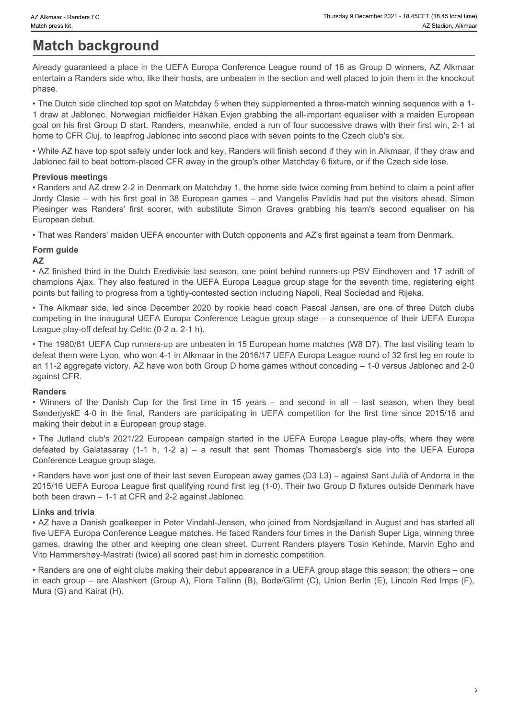# **Match background**

Already guaranteed a place in the UEFA Europa Conference League round of 16 as Group D winners, AZ Alkmaar entertain a Randers side who, like their hosts, are unbeaten in the section and well placed to join them in the knockout phase.

• The Dutch side clinched top spot on Matchday 5 when they supplemented a three-match winning sequence with a 1- 1 draw at Jablonec, Norwegian midfielder Håkan Evjen grabbing the all-important equaliser with a maiden European goal on his first Group D start. Randers, meanwhile, ended a run of four successive draws with their first win, 2-1 at home to CFR Cluj, to leapfrog Jablonec into second place with seven points to the Czech club's six. X-Alkmar - Render FC Translate on the UEFA Europa Conference League round of 16 as Group D winners, AZ Alkmaar<br>Alther and Substitute A alternation of the UEFA Europa Conference League round of 16 as Group D winners, AZ Alk • Whene its viactic colorer is the UEFA Europe Cup for the first time in 15 years – and second in all – last season particles in the UEFA Europe Cup for the first time in 15 years – and second in the UEFA Europe in 15 year Sweet Askes 25 in the final participation of the final state of the final state are are are participated and the final state are are participated and the final state are participated and the final state are particles are p • March **background club and the UEFA Europe Conference League round of 15 as Group D wmners. AZ Akmaar<br>
Miveas of universal at the UEFA Europe Conference League round of 15 as Group D wmners. AZ Akmaar<br>
enters the Substit Match background Match background Match in the UEFA** Europa Conference League round of 18 as Group D winners. AZ Alkmaan<br>Whence y used in the UEFA Europa Conference League round of 18 as Group D winners AZ Alkmaan<br>pha

• While AZ have top spot safely under lock and key, Randers will finish second if they win in Alkmaar, if they draw and Jablonec fail to beat bottom-placed CFR away in the group's other Matchday 6 fixture, or if the Czech side lose.

#### **Previous meetings**

• Randers and AZ drew 2-2 in Denmark on Matchday 1, the home side twice coming from behind to claim a point after Jordy Clasie – with his first goal in 38 European games – and Vangelis Pavlidis had put the visitors ahead. Simon European debut.

• That was Randers' maiden UEFA encounter with Dutch opponents and AZ's first against a team from Denmark.

#### **Form guide**

#### **AZ**

• AZ finished third in the Dutch Eredivisie last season, one point behind runners-up PSV Eindhoven and 17 adrift of champions Ajax. They also featured in the UEFA Europa League group stage for the seventh time, registering eight points but failing to progress from a tightly-contested section including Napoli, Real Sociedad and Rijeka.

• The Alkmaar side, led since December 2020 by rookie head coach Pascal Jansen, are one of three Dutch clubs competing in the inaugural UEFA Europa Conference League group stage – a consequence of their UEFA Europa League play-off defeat by Celtic (0-2 a, 2-1 h).

• The 1980/81 UEFA Cup runners-up are unbeaten in 15 European home matches (W8 D7). The last visiting team to defeat them were Lyon, who won 4-1 in Alkmaar in the 2016/17 UEFA Europa League round of 32 first leg en route to an 11-2 aggregate victory. AZ have won both Group D home games without conceding – 1-0 versus Jablonec and 2-0 against CFR.

#### **Randers**

making their debut in a European group stage.

Conference League group stage.

• Randers have won just one of their last seven European away games (D3 L3) – against Sant Julià of Andorra in the 2015/16 UEFA Europa League first qualifying round first leg (1-0). Their two Group D fixtures outside Denmark have both been drawn – 1-1 at CFR and 2-2 against Jablonec.

#### **Links and trivia**

• AZ have a Danish goalkeeper in Peter Vindahl-Jensen, who joined from Nordsjælland in August and has started all five UEFA Europa Conference League matches. He faced Randers four times in the Danish Super Liga, winning three games, drawing the other and keeping one clean sheet. Current Randers players Tosin Kehinde, Marvin Egho and Vito Hammershøy-Mastrati (twice) all scored past him in domestic competition.

• Randers are one of eight clubs making their debut appearance in a UEFA group stage this season; the others – one in each group – are Alashkert (Group A), Flora Tallinn (B), Bodø/Glimt (C), Union Berlin (E), Lincoln Red Imps (F), Mura (G) and Kairat (H).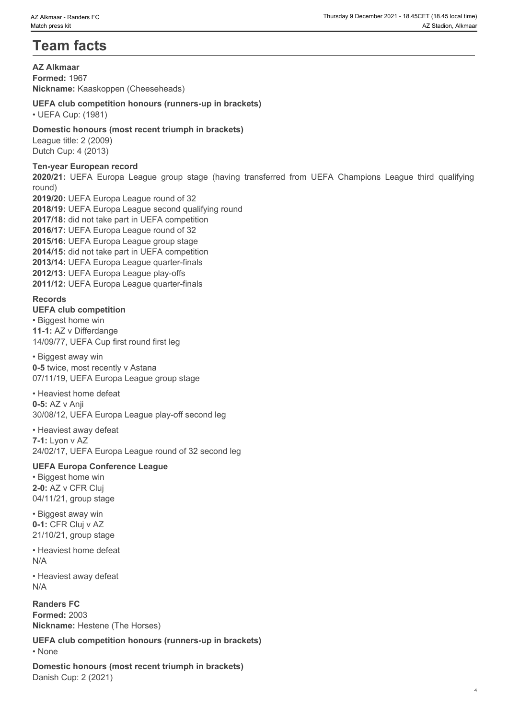# **Team facts**

**AZ Alkmaar Formed:** 1967 **Nickname:** Kaaskoppen (Cheeseheads)

#### **UEFA club competition honours (runners-up in brackets)**

• UEFA Cup: (1981)

#### **Domestic honours (most recent triumph in brackets)**

League title: 2 (2009) Dutch Cup: 4 (2013)

#### **Ten-year European record**

round)

**2020 Microsoft Control Control Control Control Control Control Control Control Control Control Control Control Control Control Control Control Control Control Control Control Control Control Control Control Control Contro 2019/20:** UEFA Europa League round of 32 **2018/19:** UEFA Europa League second qualifying round **2017/18:** did not take part in UEFA competition **2016/17:** UEFA Europa League round of 32 **2015/16:** UEFA Europa League group stage **2014/15:** did not take part in UEFA competition **2013/14:** UEFA Europa League quarter-finals **2012/13:** UEFA Europa League play-offs **2011/12:** UEFA Europa League quarter-finals

#### **Records**

#### **UEFA club competition**

• Biggest home win **11-1:** AZ v Differdange 14/09/77, UEFA Cup first round first leg

• Biggest away win **0-5** twice, most recently v Astana 07/11/19, UEFA Europa League group stage

• Heaviest home defeat **0-5:** AZ v Anji 30/08/12, UEFA Europa League play-off second leg

• Heaviest away defeat **7-1:** Lyon v AZ 24/02/17, UEFA Europa League round of 32 second leg

#### **UEFA Europa Conference League**

• Biggest home win **2-0:** AZ v CFR Cluj 04/11/21, group stage

• Biggest away win **0-1:** CFR Cluj v AZ 21/10/21, group stage

• Heaviest home defeat N/A

• Heaviest away defeat N/A

**Randers FC Formed:** 2003 **Nickname:** Hestene (The Horses)

**UEFA club competition honours (runners-up in brackets)**

• None **blue** and **blue** and **blue** and **blue** and **blue** and **blue** and **blue** and **blue** and **blue** and **blue** and **blue** and **blue** and **blue** and **blue** and **blue** and **blue** and **blue** and **blue** and **blue** and **blue** 

**Domestic honours (most recent triumph in brackets)** Danish Cup: 2 (2021)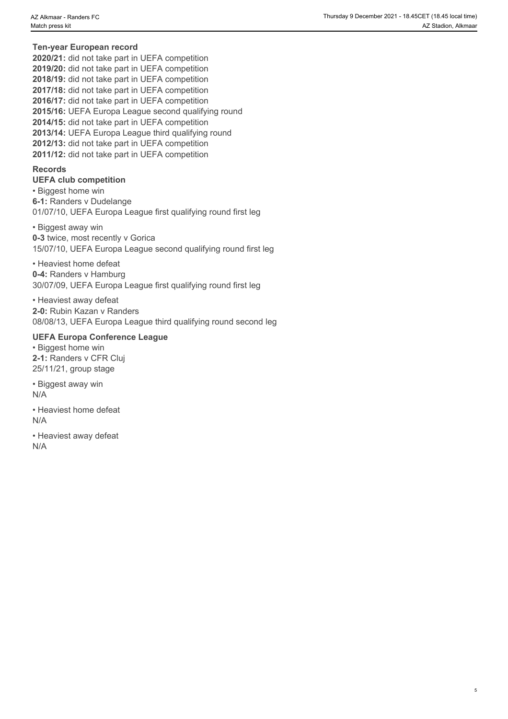#### **Ten-year European record**

**2020/21:** did not take part in UEFA competition **2019/20:** did not take part in UEFA competition **2018/19:** did not take part in UEFA competition **2017/18:** did not take part in UEFA competition **2016/17:** did not take part in UEFA competition **2015/16:** UEFA Europa League second qualifying round **2014/15:** did not take part in UEFA competition **2013/14:** UEFA Europa League third qualifying round **2012/13:** did not take part in UEFA competition **2011/12:** did not take part in UEFA competition

#### **Records**

**UEFA club competition** • Biggest home win **6-1:** Randers v Dudelange 01/07/10, UEFA Europa League first qualifying round first leg

• Biggest away win **0-3** twice, most recently v Gorica 15/07/10, UEFA Europa League second qualifying round first leg

• Heaviest home defeat **0-4:** Randers v Hamburg 30/07/09, UEFA Europa League first qualifying round first leg

• Heaviest away defeat **2-0:** Rubin Kazan v Randers 08/08/13, UEFA Europa League third qualifying round second leg

#### **UEFA Europa Conference League**

• Biggest home win **2-1:** Randers v CFR Cluj 25/11/21, group stage

• Biggest away win N/A

• Heaviest home defeat N/A

• Heaviest away defeat N/A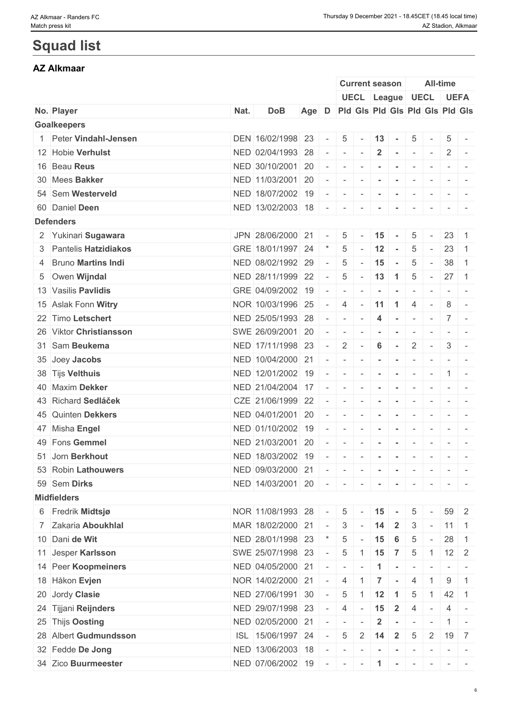# **Squad list**

### **AZ Alkmaar**

|                         |      |                           |       |                          |                          | <b>Current season</b>           |                      |                                                                                                                            |                          |                          | <b>All-time</b>          |                                                                                                                           |
|-------------------------|------|---------------------------|-------|--------------------------|--------------------------|---------------------------------|----------------------|----------------------------------------------------------------------------------------------------------------------------|--------------------------|--------------------------|--------------------------|---------------------------------------------------------------------------------------------------------------------------|
|                         |      |                           |       |                          |                          | UECL League UECL UEFA           |                      |                                                                                                                            |                          |                          |                          |                                                                                                                           |
| No. Player              | Nat. | <b>DoB</b>                | Age D |                          |                          | Pid Gis Pid Gis Pid Gis Pid Gis |                      |                                                                                                                            |                          |                          |                          |                                                                                                                           |
| <b>Goalkeepers</b>      |      |                           |       |                          |                          |                                 |                      |                                                                                                                            |                          |                          |                          |                                                                                                                           |
| 1 Peter Vindahl-Jensen  |      | DEN 16/02/1998 23         |       | $\overline{\phantom{a}}$ | 5 <sup>1</sup>           | $\sim$                          | $13 -$               |                                                                                                                            | $\overline{5}$           |                          | 5                        | $\sim$                                                                                                                    |
| 12 Hobie Verhulst       |      | NED 02/04/1993 28         |       |                          | $\overline{\phantom{a}}$ | $\overline{\phantom{a}}$        | $\overline{2}$       | $\sim$                                                                                                                     | $\sim$                   | $\sim$                   | $\mathbf{2}$             | $\sim$                                                                                                                    |
| 16 Beau Reus            |      | NED 30/10/2001 20         |       | $\sim$                   | $\overline{\phantom{a}}$ |                                 |                      |                                                                                                                            |                          |                          |                          |                                                                                                                           |
| 30 Mees Bakker          |      | NED 11/03/2001 20         |       | $\sim$                   | $\sim$                   | $\sim$                          | $\sim$               | $\sim$                                                                                                                     | $\sim$                   | $\sim$                   | $-$                      |                                                                                                                           |
| 54 Sem Westerveld       |      | NED 18/07/2002 19         |       |                          | $\sim$                   | $\sim$                          | $\sim$               | $\sim$                                                                                                                     | $\sim$                   | $\sim$                   |                          | $\sim$ 100 $\sim$                                                                                                         |
| 60 Daniel Deen          |      | NED 13/02/2003 18         |       | $\sim$                   | $\sim$                   | $\sim$                          | $\sim$               |                                                                                                                            | $\overline{\phantom{a}}$ |                          | $ -$                     |                                                                                                                           |
| <b>Defenders</b>        |      |                           |       |                          |                          |                                 |                      |                                                                                                                            |                          |                          |                          |                                                                                                                           |
| 2 Yukinari Sugawara     |      | JPN 28/06/2000 21         |       |                          | 5                        |                                 | 15                   | $\sim$                                                                                                                     | 5                        | $\sim$                   | 23                       | $\overline{1}$                                                                                                            |
| 3 Pantelis Hatzidiakos  |      | GRE 18/01/1997 24         |       |                          | 5                        |                                 | 12                   | $\sim$                                                                                                                     | $\overline{5}$           | $\sim$                   | 23                       | $\overline{1}$                                                                                                            |
| 4 Bruno Martins Indi    |      | NED 08/02/1992 29         |       | $\overline{\phantom{a}}$ | 5                        |                                 | 15                   | $\sim$                                                                                                                     | 5                        | $\sim$                   | $38$ 1                   |                                                                                                                           |
| 5 Owen Wijndal          |      | NED 28/11/1999 22         |       | $\sim$                   | 5                        | $- 13 1$                        |                      |                                                                                                                            | $\overline{5}$           | $\sim$                   | $27 \quad 1$             |                                                                                                                           |
| 13 Vasilis Pavlidis     |      | GRE 04/09/2002            | 19    |                          |                          |                                 |                      |                                                                                                                            |                          |                          |                          |                                                                                                                           |
| 15 Aslak Fonn Witry     |      | NOR 10/03/1996 25         |       | $\sim$                   | $\overline{4}$           | $\sim$                          | 11                   | $\overline{1}$                                                                                                             | $\overline{4}$           |                          | 8                        |                                                                                                                           |
| 22 Timo Letschert       |      | NED 25/05/1993 28         |       | $\overline{\phantom{a}}$ | $\sim$                   |                                 | 4                    | $\sim$ $-$                                                                                                                 | $\mathbf{1}$             | $\sim$                   |                          | $7 -$                                                                                                                     |
| 26 Viktor Christiansson |      | SWE 26/09/2001            | 20    |                          | $\overline{\phantom{a}}$ |                                 |                      |                                                                                                                            |                          |                          | $ -$                     |                                                                                                                           |
| 31 Sam Beukema          |      | NED 17/11/1998 23         |       | $\sim$                   | $\overline{2}$           | $\overline{\phantom{a}}$        | 6                    | $\sim$                                                                                                                     | $\overline{2}$           | $\sim$                   | 3                        |                                                                                                                           |
| 35 Joey Jacobs          |      | NED 10/04/2000 21         |       | $\sim$                   | $\sim$                   | $\sim$                          | $\sim$               | $\sim$                                                                                                                     | $\overline{\phantom{a}}$ | $\sim$                   | $ -$                     |                                                                                                                           |
| 38 Tijs Velthuis        |      | NED 12/01/2002 19         |       |                          | $\sim$                   | $\sim$                          | $\sim$               | $\sim$                                                                                                                     | $\sim$                   | $\sim$                   |                          | $1 -$                                                                                                                     |
| 40 Maxim Dekker         |      | NED 21/04/2004            | 17    | $\overline{\phantom{a}}$ | $\overline{\phantom{a}}$ |                                 |                      |                                                                                                                            |                          |                          |                          |                                                                                                                           |
| 43 Richard Sedláček     |      | CZE 21/06/1999 22         |       | $\sim$                   | $\sim$                   | $\overline{\phantom{a}}$        | $\blacksquare$       | $\overline{\phantom{a}}$                                                                                                   | $\overline{\phantom{a}}$ | $\overline{\phantom{a}}$ | $\overline{\phantom{a}}$ |                                                                                                                           |
| 45 Quinten Dekkers      |      | NED 04/01/2001 20         |       |                          | $\overline{\phantom{a}}$ | $\sim$                          | $\sim$               | $\sim$                                                                                                                     | $\overline{\phantom{a}}$ | $\sim$                   |                          | $\mathcal{L} = \{ \mathcal{L} \mid \mathcal{L} = \mathcal{L} \}$                                                          |
| 47 Misha Engel          |      | NED 01/10/2002            | 19    |                          | $\overline{\phantom{a}}$ | $\overline{\phantom{a}}$        | $\sim$               |                                                                                                                            | $\overline{\phantom{a}}$ | $\overline{\phantom{a}}$ |                          | $\frac{1}{2} \left( \frac{1}{2} \right) \left( \frac{1}{2} \right) \left( \frac{1}{2} \right) \left( \frac{1}{2} \right)$ |
| 49 Fons Gemmel          |      | NED 21/03/2001 20         |       | $\sim$                   | $\sim$                   |                                 |                      |                                                                                                                            |                          |                          | $\sim$                   | $\overline{\phantom{a}}$                                                                                                  |
| 51 Jorn Berkhout        |      | NED 18/03/2002 19         |       | $\overline{\phantom{a}}$ | $\sim$                   | $\sim$                          | $\sim$               | $\sim$                                                                                                                     | $\sim$                   | $\overline{\phantom{a}}$ |                          | $\sim$ 100 $\sim$                                                                                                         |
| 53 Robin Lathouwers     |      | NED 09/03/2000 21         |       | $\sim$                   | $\sim$                   | $-1$                            | $\sim$               | $\sim$                                                                                                                     | $\sim$                   | $\sim$                   |                          |                                                                                                                           |
| 59 Sem Dirks            |      | NED 14/03/2001 20 -       |       |                          | $\sim$                   | $\sim$                          | $\blacksquare$       |                                                                                                                            |                          |                          |                          |                                                                                                                           |
| <b>Midfielders</b>      |      |                           |       |                          |                          |                                 |                      |                                                                                                                            |                          |                          |                          |                                                                                                                           |
| 6 Fredrik Midtsjø       |      | NOR 11/08/1993 28         |       | $\sim$                   | 5 <sup>5</sup>           |                                 | 15                   |                                                                                                                            |                          |                          |                          | 59 2                                                                                                                      |
| 7 Zakaria Aboukhlal     |      |                           |       |                          |                          |                                 |                      |                                                                                                                            | 5                        |                          |                          |                                                                                                                           |
|                         |      | MAR 18/02/2000 21         |       | $\sim$                   | $-3$                     |                                 | 14                   | $\mathbf{2}$                                                                                                               | 3                        | $\sim$                   | $\vert$ 11 $\vert$ 1     |                                                                                                                           |
| 10 Dani de Wit          |      | NED 28/01/1998 23         |       |                          | 5                        |                                 | 15                   | 6                                                                                                                          | 5                        | $\sim$                   | $28 \quad 1$             |                                                                                                                           |
| 11 Jesper Karlsson      |      | SWE 25/07/1998 23         |       |                          | $5\overline{)}$          | $1 \quad 15$                    |                      | $\overline{7}$                                                                                                             | 5                        | $\overline{1}$           |                          | $12 \mid 2$                                                                                                               |
| 14 Peer Koopmeiners     |      | NED 04/05/2000 21         |       | $\sim$                   | $\sim$                   |                                 | $\blacktriangleleft$ |                                                                                                                            |                          |                          |                          |                                                                                                                           |
| 18 Håkon Evjen          |      | NOR 14/02/2000 21         |       | $\sim$                   | $\overline{4}$           |                                 | $\overline{7}$       |                                                                                                                            | 4                        | 1                        | 9                        | $\overline{1}$                                                                                                            |
| 20 Jordy Clasie         |      | NED 27/06/1991 30         |       |                          | 5                        |                                 | 12                   |                                                                                                                            | 5                        |                          | $42 \mid 1$              |                                                                                                                           |
| 24 Tijjani Reijnders    |      | NED 29/07/1998 23         |       | $\sim$                   | $\overline{4}$           | $\sim$                          | 15                   | $\overline{\mathbf{2}}$                                                                                                    | 4                        | $\sim$                   |                          | $4 -$                                                                                                                     |
| 25 Thijs Oosting        |      | NED 02/05/2000 21         |       |                          | $\sim$                   |                                 | $\overline{2}$       | $\sim$                                                                                                                     | $\sim$                   | $\sim$                   |                          |                                                                                                                           |
| 28 Albert Gudmundsson   |      | ISL 15/06/1997 24         |       | $\sim$                   | 5                        | 2                               | 14                   | $\overline{2}$                                                                                                             | 5                        | $\overline{2}$           |                          | $19 \mid 7$                                                                                                               |
| 32 Fedde De Jong        |      | NED 13/06/2003 18         |       |                          | $\sim$                   |                                 | $\sim$               | $\sim$                                                                                                                     | $\sim$                   |                          |                          |                                                                                                                           |
| 34 Zico Buurmeester     |      | NED 07/06/2002 19 - - - 1 |       |                          |                          |                                 |                      | $\label{eq:2.1} \begin{array}{cccccccccc} \bullet & \bullet & \bullet & \bullet & \bullet & \bullet & \bullet \end{array}$ |                          |                          |                          | $\sim$ 100 $\sim$                                                                                                         |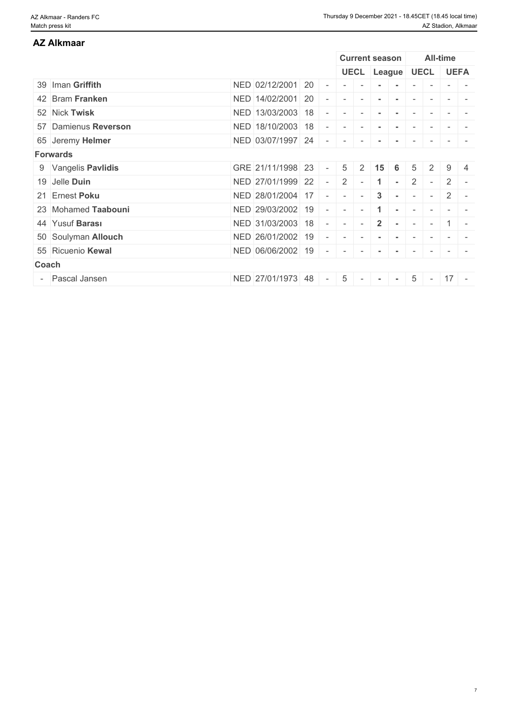### 39 Iman **Griffith** NED 02/12/2001 20 - - - **- -** - - - - 42 Bram **Franken** NED 14/02/2001 20 - - - **- -** - - - - 52 Nick **Twisk** NED 13/03/2003 18 - - - **- -** - - - - 57 Damienus **Reverson** NED 18/10/2003 18 - - - **- -** - - - - 65 Jeremy **Helmer** NED 03/07/1997 24 - - - **- -** - - - - **Forwards** 9 Vangelis **Pavlidis** GRE 21/11/1998 23 - 5 2 **15 6** 5 2 9 4 19 Jelle **Duin** NED 27/01/1999 22 - 2 - **1 -** 2 - 2 - 21 Ernest **Poku** NED 28/01/2004 17 - - - **3 -** - - 2 - 23 Mohamed Taabouni NED 29/03/2002 19 - - 1 - 1 - - - -44 Yusuf **Barası** NED 31/03/2003 18 - - - **2 -** - - 1 - 50 Soulyman **Allouch** NED 26/01/2002 19 - - - **- -** - - - - 55 Ricuenio **Kewal** NED 06/06/2002 19 - - - **- -** - - - - **Coach Coach Coach Coach Coach Coach Coach <b>Coach Coach Coach** - Pascal Jansen NED 27/01/1973 48 - 5 - **- -** 5 - 17 - **AZ Alkmaar Current season All-time UECL League UECL UEFA**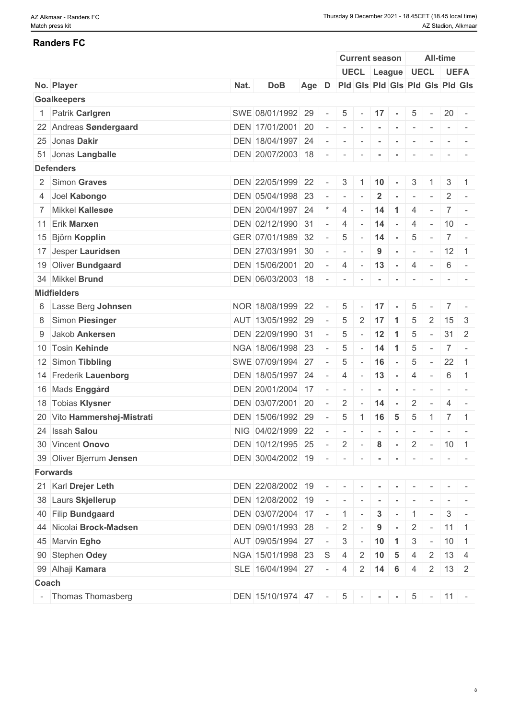| <b>Randers FC</b>           |      |                                                       |       |                                         |                                         |                          |                       |                      |                          |                          |                                                                                                             |                                                                                                              |
|-----------------------------|------|-------------------------------------------------------|-------|-----------------------------------------|-----------------------------------------|--------------------------|-----------------------|----------------------|--------------------------|--------------------------|-------------------------------------------------------------------------------------------------------------|--------------------------------------------------------------------------------------------------------------|
|                             |      |                                                       |       |                                         |                                         |                          | <b>Current season</b> |                      |                          |                          | All-time                                                                                                    |                                                                                                              |
|                             |      |                                                       |       |                                         |                                         |                          |                       |                      | UECL League UECL UEFA    |                          |                                                                                                             |                                                                                                              |
| No. Player                  | Nat. | <b>DoB</b>                                            | Age D |                                         | Pid Gis Pid Gis Pid Gis Pid Gis         |                          |                       |                      |                          |                          |                                                                                                             |                                                                                                              |
| <b>Goalkeepers</b>          |      |                                                       |       |                                         |                                         |                          |                       |                      |                          |                          |                                                                                                             |                                                                                                              |
| 1 Patrik Carlgren           |      | SWE 08/01/1992 29                                     |       | $\overline{a}$                          | $5\phantom{.0}$                         | $\sim$                   | 17                    | $\sim$               | 5                        |                          | $20 -$                                                                                                      |                                                                                                              |
| 22 Andreas Søndergaard      |      | DEN 17/01/2001 20                                     |       | $\sim$                                  | $\begin{array}{ccc} \hline \end{array}$ | $\sim$                   | $\sim$                | $\sim$               | $\sim$                   |                          |                                                                                                             | $\frac{1}{2} \left( \frac{1}{2} \right) \left( \frac{1}{2} \right) = \frac{1}{2} \left( \frac{1}{2} \right)$ |
| 25 Jonas Dakir              |      | DEN 18/04/1997 24                                     |       | $\overline{\phantom{a}}$                | $\sim$                                  | $\sim$                   | $\sim$                | $\sim$               | $\sim$                   | $\sim$                   | $\sim$ 100 $\pm$                                                                                            | $\sim$                                                                                                       |
| 51 Jonas Langballe          |      | DEN 20/07/2003 18 -                                   |       |                                         |                                         | $\sim$                   |                       |                      | $\overline{\phantom{a}}$ |                          |                                                                                                             |                                                                                                              |
| <b>Defenders</b>            |      |                                                       |       |                                         |                                         |                          |                       |                      |                          |                          |                                                                                                             |                                                                                                              |
| 2 Simon Graves              |      | DEN 22/05/1999 22                                     |       | $\sim$                                  | 3 <sup>1</sup>                          | -1                       | 10                    | $\sim$               | 3                        |                          | 3                                                                                                           | $\mathbf{1}$                                                                                                 |
| 4 Joel Kabongo              |      | DEN 05/04/1998 23                                     |       | $\sim$                                  | $\sim$                                  |                          | $\mathbf{2}$          |                      | $\sim$                   |                          | 2                                                                                                           |                                                                                                              |
| 7 Mikkel Kallesøe           |      | DEN 20/04/1997 24                                     |       |                                         | $\overline{4}$                          |                          | 14                    | $\blacktriangleleft$ | $\overline{4}$           |                          | 7 <sup>1</sup>                                                                                              |                                                                                                              |
| 11 Erik Marxen              |      | DEN 02/12/1990 31                                     |       | $\sim$                                  | $\overline{4}$                          | $\sim$                   | 14                    | $\sim$               | $\overline{4}$           | $\sim$                   | $10 -$                                                                                                      |                                                                                                              |
| 15 Björn Kopplin            |      | GER 07/01/1989 32                                     |       | $\sim$                                  | 5                                       | $\sim$                   | 14                    | $\sim$               | 5                        | $\overline{\phantom{a}}$ |                                                                                                             | $7 -$                                                                                                        |
| 17 Jesper Lauridsen         |      | DEN 27/03/1991 30                                     |       | $\overline{a}$                          | $\overline{\phantom{a}}$                |                          | 9                     | $\sim$               | $\sim$                   | $\overline{\phantom{a}}$ | $12 \mid 1$                                                                                                 |                                                                                                              |
| 19 Oliver Bundgaard         |      | DEN 15/06/2001 20                                     |       | $\sim$ $-$                              | $4 - 13 -$                              |                          |                       |                      | 4                        | $\sim$                   | 6                                                                                                           | $\sim$                                                                                                       |
| 34 Mikkel Brund             |      | DEN 06/03/2003 18                                     |       | $\sim$                                  | $\sim$ $-$                              | $\sim$                   |                       | $\sim$               | $\sim$                   |                          |                                                                                                             |                                                                                                              |
| <b>Midfielders</b>          |      |                                                       |       |                                         |                                         |                          |                       |                      |                          |                          |                                                                                                             |                                                                                                              |
| 6 Lasse Berg Johnsen        |      | NOR 18/08/1999 22                                     |       | $\sim$                                  | 5                                       | $\sim$                   | 17                    | $\sim$               | 5                        |                          | 7 <sup>1</sup>                                                                                              |                                                                                                              |
| 8 Simon Piesinger           |      | AUT 13/05/1992 29                                     |       | $\overline{\phantom{a}}$                | 5                                       | $2 \mid 17$              |                       | $\vert$ 1            | 5                        | 2                        | $15 \mid 3$                                                                                                 |                                                                                                              |
| 9 Jakob Ankersen            |      | DEN 22/09/1990 31                                     |       | $\sim$                                  | 5                                       | $\sim$                   | 12                    | $\overline{1}$       | 5                        |                          | $31 \quad 2$                                                                                                |                                                                                                              |
| 10 Tosin Kehinde            |      | NGA 18/06/1998 23                                     |       | $\sim$                                  | 5                                       |                          | 14                    | $\overline{1}$       | 5                        | $\overline{\phantom{a}}$ |                                                                                                             | $7 -$                                                                                                        |
| 12 Simon Tibbling           |      | SWE 07/09/1994 27                                     |       | $\overline{\phantom{a}}$                | 5                                       | $\overline{\phantom{a}}$ | 16                    | $\sim$               | 5                        | $\overline{\phantom{a}}$ | $22 \mid 1$                                                                                                 |                                                                                                              |
| 14 Frederik Lauenborg       |      | DEN 18/05/1997 24                                     |       | $\sim$                                  | $\overline{4}$                          | $-$ 13                   |                       | $\sim$               | 4                        | $\sim$                   | 6                                                                                                           | $\vert$ 1                                                                                                    |
| 16 Mads Enggård             |      | DEN 20/01/2004 17                                     |       | $\sim$                                  | $\overline{\phantom{a}}$                |                          |                       | $\sim$               | $\overline{\phantom{a}}$ |                          | $\sim$                                                                                                      |                                                                                                              |
| 18 Tobias Klysner           |      | DEN 03/07/2001 20                                     |       | $\sim$                                  | $2 \mid$                                |                          | $-14$                 | $\sim$               | $\overline{2}$           | $\overline{\phantom{a}}$ | $\overline{4}$                                                                                              | $\sim$                                                                                                       |
| 20 Vito Hammershøj-Mistrati |      | DEN 15/06/1992 29                                     |       | $\sim$                                  | $5\phantom{.0}$                         | $1 \quad 16$             |                       | 5                    | 5                        | $\mathbf{1}$             | $\overline{7}$                                                                                              | $\overline{1}$                                                                                               |
| 24 Issah Salou              |      | NIG 04/02/1999 22 - - - - - - -                       |       |                                         |                                         |                          |                       |                      |                          | $\sim$                   | $\begin{array}{cccccccccc} \bullet & \bullet & \bullet & \bullet & \bullet & \bullet & \bullet \end{array}$ |                                                                                                              |
| 30 Vincent Onovo            |      | DEN 10/12/1995 25 - 2 - 8 - 2 - 10 1                  |       |                                         |                                         |                          |                       |                      |                          |                          |                                                                                                             |                                                                                                              |
| 39 Oliver Bjerrum Jensen    |      | DEN 30/04/2002 19 - - - - - - - -                     |       |                                         |                                         |                          |                       |                      |                          |                          |                                                                                                             |                                                                                                              |
|                             |      |                                                       |       |                                         |                                         |                          |                       |                      |                          |                          |                                                                                                             | $ -$                                                                                                         |
| <b>Forwards</b>             |      |                                                       |       |                                         |                                         |                          |                       |                      |                          |                          |                                                                                                             |                                                                                                              |
| 21 Karl Drejer Leth         |      | DEN 22/08/2002 19 - - - - - - - -                     |       |                                         |                                         |                          |                       |                      |                          |                          |                                                                                                             |                                                                                                              |
| 38 Laurs Skjellerup         |      | DEN   12/08/2002   19   -   -   -   -   -   -   -   - |       |                                         |                                         |                          |                       |                      |                          |                          |                                                                                                             | $\mathcal{L} = \mathcal{L} \times \mathcal{L} = \mathcal{L} \times \mathcal{L}$                              |
| 40 Filip Bundgaard          |      | DEN 03/07/2004 17 - 1 -                               |       |                                         |                                         |                          |                       |                      | $3 - 1 -$                |                          |                                                                                                             | $3 -$                                                                                                        |
| 44 Nicolai Brock-Madsen     |      | DEN 09/01/1993 28                                     |       | $\sim$                                  | $2^{\circ}$                             |                          | 9                     | $\sim$               | 2                        | $\sim$                   | $\vert$ 11 $\vert$ 1                                                                                        |                                                                                                              |
| 45 Marvin Egho              |      | AUT 09/05/1994 27                                     |       | $\vert \cdot \vert = \vert \cdot \vert$ | 3 <sup>1</sup>                          |                          | $-10$ 1               |                      | 3                        |                          | $-10$ 1                                                                                                     |                                                                                                              |
| 90 Stephen Odey             |      | NGA 15/01/1998 23 S                                   |       |                                         | $4 \mid 2 \mid 10 \mid 5$               |                          |                       |                      | $\overline{4}$           |                          | $2 \mid 13 \mid 4$                                                                                          |                                                                                                              |
| 99 Alhaji Kamara            |      | SLE 16/04/1994 27 - 4 2 14 6                          |       |                                         |                                         |                          |                       |                      | 4                        |                          | $2 \mid 13 \mid 2$                                                                                          |                                                                                                              |
| Coach                       |      |                                                       |       |                                         |                                         |                          |                       |                      |                          |                          |                                                                                                             |                                                                                                              |
| - Thomas Thomasberg         |      | DEN 15/10/1974 47 - 5 - - -                           |       |                                         |                                         |                          |                       |                      | $5 - 11 -$               |                          |                                                                                                             |                                                                                                              |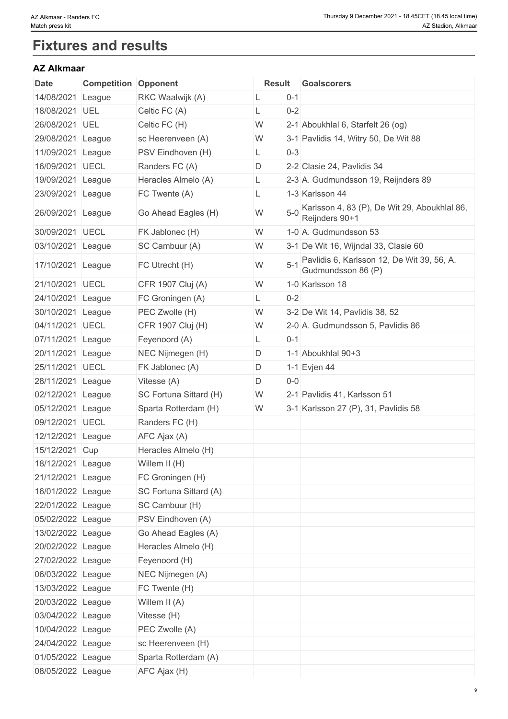# **Fixtures and results**

### **AZ Alkmaar**

| $0 - 1$<br>RKC Waalwijk (A)<br>League<br>L<br>18/08/2021 UEL<br>Celtic FC (A)<br>$0 - 2$<br>L<br>W<br>2-1 Aboukhlal 6, Starfelt 26 (og)<br>UEL<br>Celtic FC (H)<br>sc Heerenveen (A)<br>W<br>3-1 Pavlidis 14, Witry 50, De Wit 88<br>League<br>11/09/2021 League<br>PSV Eindhoven (H)<br>$0 - 3$<br>L.<br>16/09/2021 UECL<br>D<br>2-2 Clasie 24, Pavlidis 34<br>Randers FC (A)<br>19/09/2021 League<br>Heracles Almelo (A)<br>2-3 A. Gudmundsson 19, Reijnders 89<br>L<br>23/09/2021 League<br>FC Twente (A)<br>1-3 Karlsson 44<br>$5 - 0$<br>W<br>26/09/2021 League<br>Go Ahead Eagles (H)<br>Reijnders 90+1<br>30/09/2021 UECL<br>FK Jablonec (H)<br>W<br>1-0 A. Gudmundsson 53<br>03/10/2021 League<br>SC Cambuur (A)<br>W<br>3-1 De Wit 16, Wijndal 33, Clasie 60<br>$5 - 1$<br>W<br>17/10/2021 League<br>FC Utrecht (H)<br>Gudmundsson 86 (P)<br>21/10/2021 UECL<br>CFR 1907 Cluj (A)<br>W<br>1-0 Karlsson 18<br>24/10/2021 League<br>$0 - 2$<br>FC Groningen (A)<br>PEC Zwolle (H)<br>W<br>3-2 De Wit 14, Pavlidis 38, 52<br>30/10/2021 League<br>04/11/2021 UECL<br>CFR 1907 Cluj (H)<br>W<br>2-0 A. Gudmundsson 5, Pavlidis 86<br>07/11/2021 League<br>$0 - 1$<br>Feyenoord (A)<br>L<br>1-1 Aboukhlal 90+3<br>20/11/2021 League<br>NEC Nijmegen (H)<br>D<br>25/11/2021 UECL<br>FK Jablonec (A)<br>1-1 Evjen 44<br>D<br>28/11/2021 League<br>D<br>$0-0$<br>Vitesse (A)<br>2-1 Pavlidis 41, Karlsson 51<br>SC Fortuna Sittard (H)<br>W<br>League<br>05/12/2021 League<br>Sparta Rotterdam (H)<br>W<br>3-1 Karlsson 27 (P), 31, Pavlidis 58<br>09/12/2021 UECL<br>Randers FC (H)<br>AFC Ajax (A)<br>League<br>15/12/2021 Cup<br>Heracles Almelo (H)<br>18/12/2021 League<br>Willem II (H)<br>21/12/2021 League<br>FC Groningen (H)<br>16/01/2022 League<br>SC Fortuna Sittard (A)<br>22/01/2022 League<br>SC Cambuur (H)<br>05/02/2022 League<br>PSV Eindhoven (A)<br>13/02/2022 League<br>Go Ahead Eagles (A)<br>20/02/2022 League<br>Heracles Almelo (H)<br>27/02/2022 League<br>Feyenoord (H)<br>06/03/2022 League<br>NEC Nijmegen (A)<br>13/03/2022 League<br>FC Twente (H)<br>20/03/2022 League<br>Willem II (A)<br>03/04/2022 League<br>Vitesse (H)<br>10/04/2022 League<br>PEC Zwolle (A)<br>24/04/2022 League<br>sc Heerenveen (H)<br>01/05/2022 League<br>Sparta Rotterdam (A)<br>08/05/2022 League | Date       | <b>Competition Opponent</b> |              | <b>Result</b> | <b>Goalscorers</b> |
|-------------------------------------------------------------------------------------------------------------------------------------------------------------------------------------------------------------------------------------------------------------------------------------------------------------------------------------------------------------------------------------------------------------------------------------------------------------------------------------------------------------------------------------------------------------------------------------------------------------------------------------------------------------------------------------------------------------------------------------------------------------------------------------------------------------------------------------------------------------------------------------------------------------------------------------------------------------------------------------------------------------------------------------------------------------------------------------------------------------------------------------------------------------------------------------------------------------------------------------------------------------------------------------------------------------------------------------------------------------------------------------------------------------------------------------------------------------------------------------------------------------------------------------------------------------------------------------------------------------------------------------------------------------------------------------------------------------------------------------------------------------------------------------------------------------------------------------------------------------------------------------------------------------------------------------------------------------------------------------------------------------------------------------------------------------------------------------------------------------------------------------------------------------------------------------------------------------------------------------------------------------------------------------------------------------------|------------|-----------------------------|--------------|---------------|--------------------|
| Pavlidis 6, Karlsson 12, De Wit 39, 56, A.                                                                                                                                                                                                                                                                                                                                                                                                                                                                                                                                                                                                                                                                                                                                                                                                                                                                                                                                                                                                                                                                                                                                                                                                                                                                                                                                                                                                                                                                                                                                                                                                                                                                                                                                                                                                                                                                                                                                                                                                                                                                                                                                                                                                                                                                        | 14/08/2021 |                             |              |               |                    |
|                                                                                                                                                                                                                                                                                                                                                                                                                                                                                                                                                                                                                                                                                                                                                                                                                                                                                                                                                                                                                                                                                                                                                                                                                                                                                                                                                                                                                                                                                                                                                                                                                                                                                                                                                                                                                                                                                                                                                                                                                                                                                                                                                                                                                                                                                                                   |            |                             |              |               |                    |
| Karlsson 4, 83 (P), De Wit 29, Aboukhlal 86,                                                                                                                                                                                                                                                                                                                                                                                                                                                                                                                                                                                                                                                                                                                                                                                                                                                                                                                                                                                                                                                                                                                                                                                                                                                                                                                                                                                                                                                                                                                                                                                                                                                                                                                                                                                                                                                                                                                                                                                                                                                                                                                                                                                                                                                                      | 26/08/2021 |                             |              |               |                    |
|                                                                                                                                                                                                                                                                                                                                                                                                                                                                                                                                                                                                                                                                                                                                                                                                                                                                                                                                                                                                                                                                                                                                                                                                                                                                                                                                                                                                                                                                                                                                                                                                                                                                                                                                                                                                                                                                                                                                                                                                                                                                                                                                                                                                                                                                                                                   | 29/08/2021 |                             |              |               |                    |
|                                                                                                                                                                                                                                                                                                                                                                                                                                                                                                                                                                                                                                                                                                                                                                                                                                                                                                                                                                                                                                                                                                                                                                                                                                                                                                                                                                                                                                                                                                                                                                                                                                                                                                                                                                                                                                                                                                                                                                                                                                                                                                                                                                                                                                                                                                                   |            |                             |              |               |                    |
|                                                                                                                                                                                                                                                                                                                                                                                                                                                                                                                                                                                                                                                                                                                                                                                                                                                                                                                                                                                                                                                                                                                                                                                                                                                                                                                                                                                                                                                                                                                                                                                                                                                                                                                                                                                                                                                                                                                                                                                                                                                                                                                                                                                                                                                                                                                   |            |                             |              |               |                    |
|                                                                                                                                                                                                                                                                                                                                                                                                                                                                                                                                                                                                                                                                                                                                                                                                                                                                                                                                                                                                                                                                                                                                                                                                                                                                                                                                                                                                                                                                                                                                                                                                                                                                                                                                                                                                                                                                                                                                                                                                                                                                                                                                                                                                                                                                                                                   |            |                             |              |               |                    |
|                                                                                                                                                                                                                                                                                                                                                                                                                                                                                                                                                                                                                                                                                                                                                                                                                                                                                                                                                                                                                                                                                                                                                                                                                                                                                                                                                                                                                                                                                                                                                                                                                                                                                                                                                                                                                                                                                                                                                                                                                                                                                                                                                                                                                                                                                                                   |            |                             |              |               |                    |
|                                                                                                                                                                                                                                                                                                                                                                                                                                                                                                                                                                                                                                                                                                                                                                                                                                                                                                                                                                                                                                                                                                                                                                                                                                                                                                                                                                                                                                                                                                                                                                                                                                                                                                                                                                                                                                                                                                                                                                                                                                                                                                                                                                                                                                                                                                                   |            |                             |              |               |                    |
|                                                                                                                                                                                                                                                                                                                                                                                                                                                                                                                                                                                                                                                                                                                                                                                                                                                                                                                                                                                                                                                                                                                                                                                                                                                                                                                                                                                                                                                                                                                                                                                                                                                                                                                                                                                                                                                                                                                                                                                                                                                                                                                                                                                                                                                                                                                   |            |                             |              |               |                    |
|                                                                                                                                                                                                                                                                                                                                                                                                                                                                                                                                                                                                                                                                                                                                                                                                                                                                                                                                                                                                                                                                                                                                                                                                                                                                                                                                                                                                                                                                                                                                                                                                                                                                                                                                                                                                                                                                                                                                                                                                                                                                                                                                                                                                                                                                                                                   |            |                             |              |               |                    |
|                                                                                                                                                                                                                                                                                                                                                                                                                                                                                                                                                                                                                                                                                                                                                                                                                                                                                                                                                                                                                                                                                                                                                                                                                                                                                                                                                                                                                                                                                                                                                                                                                                                                                                                                                                                                                                                                                                                                                                                                                                                                                                                                                                                                                                                                                                                   |            |                             |              |               |                    |
|                                                                                                                                                                                                                                                                                                                                                                                                                                                                                                                                                                                                                                                                                                                                                                                                                                                                                                                                                                                                                                                                                                                                                                                                                                                                                                                                                                                                                                                                                                                                                                                                                                                                                                                                                                                                                                                                                                                                                                                                                                                                                                                                                                                                                                                                                                                   |            |                             |              |               |                    |
|                                                                                                                                                                                                                                                                                                                                                                                                                                                                                                                                                                                                                                                                                                                                                                                                                                                                                                                                                                                                                                                                                                                                                                                                                                                                                                                                                                                                                                                                                                                                                                                                                                                                                                                                                                                                                                                                                                                                                                                                                                                                                                                                                                                                                                                                                                                   |            |                             |              |               |                    |
|                                                                                                                                                                                                                                                                                                                                                                                                                                                                                                                                                                                                                                                                                                                                                                                                                                                                                                                                                                                                                                                                                                                                                                                                                                                                                                                                                                                                                                                                                                                                                                                                                                                                                                                                                                                                                                                                                                                                                                                                                                                                                                                                                                                                                                                                                                                   |            |                             |              |               |                    |
|                                                                                                                                                                                                                                                                                                                                                                                                                                                                                                                                                                                                                                                                                                                                                                                                                                                                                                                                                                                                                                                                                                                                                                                                                                                                                                                                                                                                                                                                                                                                                                                                                                                                                                                                                                                                                                                                                                                                                                                                                                                                                                                                                                                                                                                                                                                   |            |                             |              |               |                    |
|                                                                                                                                                                                                                                                                                                                                                                                                                                                                                                                                                                                                                                                                                                                                                                                                                                                                                                                                                                                                                                                                                                                                                                                                                                                                                                                                                                                                                                                                                                                                                                                                                                                                                                                                                                                                                                                                                                                                                                                                                                                                                                                                                                                                                                                                                                                   |            |                             |              |               |                    |
|                                                                                                                                                                                                                                                                                                                                                                                                                                                                                                                                                                                                                                                                                                                                                                                                                                                                                                                                                                                                                                                                                                                                                                                                                                                                                                                                                                                                                                                                                                                                                                                                                                                                                                                                                                                                                                                                                                                                                                                                                                                                                                                                                                                                                                                                                                                   |            |                             |              |               |                    |
|                                                                                                                                                                                                                                                                                                                                                                                                                                                                                                                                                                                                                                                                                                                                                                                                                                                                                                                                                                                                                                                                                                                                                                                                                                                                                                                                                                                                                                                                                                                                                                                                                                                                                                                                                                                                                                                                                                                                                                                                                                                                                                                                                                                                                                                                                                                   |            |                             |              |               |                    |
|                                                                                                                                                                                                                                                                                                                                                                                                                                                                                                                                                                                                                                                                                                                                                                                                                                                                                                                                                                                                                                                                                                                                                                                                                                                                                                                                                                                                                                                                                                                                                                                                                                                                                                                                                                                                                                                                                                                                                                                                                                                                                                                                                                                                                                                                                                                   |            |                             |              |               |                    |
|                                                                                                                                                                                                                                                                                                                                                                                                                                                                                                                                                                                                                                                                                                                                                                                                                                                                                                                                                                                                                                                                                                                                                                                                                                                                                                                                                                                                                                                                                                                                                                                                                                                                                                                                                                                                                                                                                                                                                                                                                                                                                                                                                                                                                                                                                                                   | 02/12/2021 |                             |              |               |                    |
|                                                                                                                                                                                                                                                                                                                                                                                                                                                                                                                                                                                                                                                                                                                                                                                                                                                                                                                                                                                                                                                                                                                                                                                                                                                                                                                                                                                                                                                                                                                                                                                                                                                                                                                                                                                                                                                                                                                                                                                                                                                                                                                                                                                                                                                                                                                   |            |                             |              |               |                    |
|                                                                                                                                                                                                                                                                                                                                                                                                                                                                                                                                                                                                                                                                                                                                                                                                                                                                                                                                                                                                                                                                                                                                                                                                                                                                                                                                                                                                                                                                                                                                                                                                                                                                                                                                                                                                                                                                                                                                                                                                                                                                                                                                                                                                                                                                                                                   |            |                             |              |               |                    |
|                                                                                                                                                                                                                                                                                                                                                                                                                                                                                                                                                                                                                                                                                                                                                                                                                                                                                                                                                                                                                                                                                                                                                                                                                                                                                                                                                                                                                                                                                                                                                                                                                                                                                                                                                                                                                                                                                                                                                                                                                                                                                                                                                                                                                                                                                                                   | 12/12/2021 |                             |              |               |                    |
|                                                                                                                                                                                                                                                                                                                                                                                                                                                                                                                                                                                                                                                                                                                                                                                                                                                                                                                                                                                                                                                                                                                                                                                                                                                                                                                                                                                                                                                                                                                                                                                                                                                                                                                                                                                                                                                                                                                                                                                                                                                                                                                                                                                                                                                                                                                   |            |                             |              |               |                    |
|                                                                                                                                                                                                                                                                                                                                                                                                                                                                                                                                                                                                                                                                                                                                                                                                                                                                                                                                                                                                                                                                                                                                                                                                                                                                                                                                                                                                                                                                                                                                                                                                                                                                                                                                                                                                                                                                                                                                                                                                                                                                                                                                                                                                                                                                                                                   |            |                             |              |               |                    |
|                                                                                                                                                                                                                                                                                                                                                                                                                                                                                                                                                                                                                                                                                                                                                                                                                                                                                                                                                                                                                                                                                                                                                                                                                                                                                                                                                                                                                                                                                                                                                                                                                                                                                                                                                                                                                                                                                                                                                                                                                                                                                                                                                                                                                                                                                                                   |            |                             |              |               |                    |
|                                                                                                                                                                                                                                                                                                                                                                                                                                                                                                                                                                                                                                                                                                                                                                                                                                                                                                                                                                                                                                                                                                                                                                                                                                                                                                                                                                                                                                                                                                                                                                                                                                                                                                                                                                                                                                                                                                                                                                                                                                                                                                                                                                                                                                                                                                                   |            |                             |              |               |                    |
|                                                                                                                                                                                                                                                                                                                                                                                                                                                                                                                                                                                                                                                                                                                                                                                                                                                                                                                                                                                                                                                                                                                                                                                                                                                                                                                                                                                                                                                                                                                                                                                                                                                                                                                                                                                                                                                                                                                                                                                                                                                                                                                                                                                                                                                                                                                   |            |                             |              |               |                    |
|                                                                                                                                                                                                                                                                                                                                                                                                                                                                                                                                                                                                                                                                                                                                                                                                                                                                                                                                                                                                                                                                                                                                                                                                                                                                                                                                                                                                                                                                                                                                                                                                                                                                                                                                                                                                                                                                                                                                                                                                                                                                                                                                                                                                                                                                                                                   |            |                             |              |               |                    |
|                                                                                                                                                                                                                                                                                                                                                                                                                                                                                                                                                                                                                                                                                                                                                                                                                                                                                                                                                                                                                                                                                                                                                                                                                                                                                                                                                                                                                                                                                                                                                                                                                                                                                                                                                                                                                                                                                                                                                                                                                                                                                                                                                                                                                                                                                                                   |            |                             |              |               |                    |
|                                                                                                                                                                                                                                                                                                                                                                                                                                                                                                                                                                                                                                                                                                                                                                                                                                                                                                                                                                                                                                                                                                                                                                                                                                                                                                                                                                                                                                                                                                                                                                                                                                                                                                                                                                                                                                                                                                                                                                                                                                                                                                                                                                                                                                                                                                                   |            |                             |              |               |                    |
|                                                                                                                                                                                                                                                                                                                                                                                                                                                                                                                                                                                                                                                                                                                                                                                                                                                                                                                                                                                                                                                                                                                                                                                                                                                                                                                                                                                                                                                                                                                                                                                                                                                                                                                                                                                                                                                                                                                                                                                                                                                                                                                                                                                                                                                                                                                   |            |                             |              |               |                    |
|                                                                                                                                                                                                                                                                                                                                                                                                                                                                                                                                                                                                                                                                                                                                                                                                                                                                                                                                                                                                                                                                                                                                                                                                                                                                                                                                                                                                                                                                                                                                                                                                                                                                                                                                                                                                                                                                                                                                                                                                                                                                                                                                                                                                                                                                                                                   |            |                             |              |               |                    |
|                                                                                                                                                                                                                                                                                                                                                                                                                                                                                                                                                                                                                                                                                                                                                                                                                                                                                                                                                                                                                                                                                                                                                                                                                                                                                                                                                                                                                                                                                                                                                                                                                                                                                                                                                                                                                                                                                                                                                                                                                                                                                                                                                                                                                                                                                                                   |            |                             |              |               |                    |
|                                                                                                                                                                                                                                                                                                                                                                                                                                                                                                                                                                                                                                                                                                                                                                                                                                                                                                                                                                                                                                                                                                                                                                                                                                                                                                                                                                                                                                                                                                                                                                                                                                                                                                                                                                                                                                                                                                                                                                                                                                                                                                                                                                                                                                                                                                                   |            |                             |              |               |                    |
|                                                                                                                                                                                                                                                                                                                                                                                                                                                                                                                                                                                                                                                                                                                                                                                                                                                                                                                                                                                                                                                                                                                                                                                                                                                                                                                                                                                                                                                                                                                                                                                                                                                                                                                                                                                                                                                                                                                                                                                                                                                                                                                                                                                                                                                                                                                   |            |                             |              |               |                    |
|                                                                                                                                                                                                                                                                                                                                                                                                                                                                                                                                                                                                                                                                                                                                                                                                                                                                                                                                                                                                                                                                                                                                                                                                                                                                                                                                                                                                                                                                                                                                                                                                                                                                                                                                                                                                                                                                                                                                                                                                                                                                                                                                                                                                                                                                                                                   |            |                             |              |               |                    |
|                                                                                                                                                                                                                                                                                                                                                                                                                                                                                                                                                                                                                                                                                                                                                                                                                                                                                                                                                                                                                                                                                                                                                                                                                                                                                                                                                                                                                                                                                                                                                                                                                                                                                                                                                                                                                                                                                                                                                                                                                                                                                                                                                                                                                                                                                                                   |            |                             |              |               |                    |
|                                                                                                                                                                                                                                                                                                                                                                                                                                                                                                                                                                                                                                                                                                                                                                                                                                                                                                                                                                                                                                                                                                                                                                                                                                                                                                                                                                                                                                                                                                                                                                                                                                                                                                                                                                                                                                                                                                                                                                                                                                                                                                                                                                                                                                                                                                                   |            |                             |              |               |                    |
|                                                                                                                                                                                                                                                                                                                                                                                                                                                                                                                                                                                                                                                                                                                                                                                                                                                                                                                                                                                                                                                                                                                                                                                                                                                                                                                                                                                                                                                                                                                                                                                                                                                                                                                                                                                                                                                                                                                                                                                                                                                                                                                                                                                                                                                                                                                   |            |                             | AFC Ajax (H) |               |                    |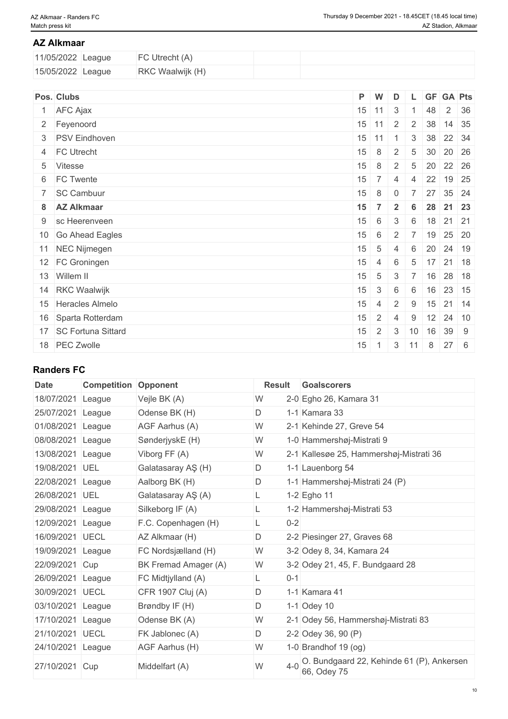#### **AZ Alkmaar**

| 11/05/2022 League | FC Utrecht (A)          |  |
|-------------------|-------------------------|--|
| 15/05/2022 League | <b>RKC Waalwijk (H)</b> |  |

| Pos. Clubs              |         | P W                                     | D              |                    |              | L GF GA Pts                       |
|-------------------------|---------|-----------------------------------------|----------------|--------------------|--------------|-----------------------------------|
| 1 AFC Ajax              |         | $15$ 11 3                               |                | $1 \quad 48$       |              | $2 \mid 36$                       |
| 2 Feyenoord             |         | $15 \mid 11 \mid 2 \mid 2 \mid 38 \mid$ |                |                    |              | $14 \overline{\smash{\big)}\ 35}$ |
| 3 PSV Eindhoven         | $15$ 11 |                                         | 11             | $\mathcal{S}$      | 38 22 34     |                                   |
| 4 FC Utrecht            | 15      | 8 <sup>1</sup>                          | 2              | $5\overline{)}$    |              | 30 20 26                          |
| 5 Vitesse               | 15      | 8                                       |                |                    |              | 2 5 20 22 26                      |
| 6 FC Twente             | 15      | 7 <sup>1</sup>                          | $\overline{4}$ |                    | 4 22 19 25   |                                   |
| 7 SC Cambuur            |         | $15 \mid 8 \mid 0$                      |                | $\overline{7}$     | 27 35 24     |                                   |
| 8 AZ Alkmaar            | 15      | $7\phantom{0}$                          | $2 \mid 6$     |                    |              | 28 21 23                          |
| 9 sc Heerenveen         | 15      | 6                                       | 3              | 6                  | 18 21 21     |                                   |
| 10 Go Ahead Eagles      | 15      | 6                                       | 2              |                    | 7 19 25 20   |                                   |
| 11 NEC Nijmegen         | 15      | $5\overline{5}$                         | $\overline{4}$ | 6                  | 20 24 19     |                                   |
| 12 FC Groningen         | 15      | $4 \mid 6$                              |                |                    | $5$ 17 21 18 |                                   |
| 13 Willem II            | 15      | $5 \mid 3$                              |                |                    |              | 7 16 28 18                        |
| 14 RKC Waalwijk         | 15      | $3 \quad 6$                             |                |                    |              | 6 16 23 15                        |
| 15 Heracles Almelo      | 15      | $4 \mid 2 \mid$                         |                |                    | $9$ 15 21 14 |                                   |
| 16 Sparta Rotterdam     | 15      | $\perp$ 2 $\perp$                       | 4              | 9                  |              | $12 \mid 24 \mid 10$              |
| 17   SC Fortuna Sittard | 15      | $\overline{2}$                          | $\mathcal{S}$  | 10                 | 16 39 9      |                                   |
| 18 PEC Zwolle           | 15      | 1 <sup>1</sup>                          |                | $3 \mid 11 \mid 8$ | $27 \quad 6$ |                                   |

### **Randers FC**

| Date              | <b>Competition Opponent</b> |                      | Result | Goalscorers                                              |
|-------------------|-----------------------------|----------------------|--------|----------------------------------------------------------|
| 18/07/2021        | League                      | Vejle BK (A)         | W      | 2-0 Egho 26, Kamara 31                                   |
| 25/07/2021        | League                      | Odense BK (H)        | D      | 1-1 Kamara 33                                            |
| 01/08/2021        | League                      | AGF Aarhus (A)       | W      | 2-1 Kehinde 27, Greve 54                                 |
| 08/08/2021 League |                             | SønderjyskE (H)      | W      | 1-0 Hammershøj-Mistrati 9                                |
| 13/08/2021 League |                             | Viborg FF (A)        | W      | 2-1 Kallesøe 25, Hammershøj-Mistrati 36                  |
| 19/08/2021 UEL    |                             | Galatasaray AŞ (H)   | D      | 1-1 Lauenborg 54                                         |
| 22/08/2021 League |                             | Aalborg BK (H)       | D      | 1-1 Hammershøj-Mistrati 24 (P)                           |
| 26/08/2021 UEL    |                             | Galatasaray AŞ (A)   |        | 1-2 Egho 11                                              |
| 29/08/2021        | League                      | Silkeborg IF (A)     |        | 1-2 Hammershøj-Mistrati 53                               |
| 12/09/2021 League |                             | F.C. Copenhagen (H)  |        | $0 - 2$                                                  |
| 16/09/2021 UECL   |                             | AZ Alkmaar (H)       | D      | 2-2 Piesinger 27, Graves 68                              |
| 19/09/2021 League |                             | FC Nordsjælland (H)  | W      | 3-2 Odey 8, 34, Kamara 24                                |
| 22/09/2021 Cup    |                             | BK Fremad Amager (A) | W      | 3-2 Odey 21, 45, F. Bundgaard 28                         |
| 26/09/2021        | League                      | FC Midtjylland (A)   | L      | $0 - 1$                                                  |
| 30/09/2021 UECL   |                             | CFR 1907 Cluj (A)    | D      | 1-1 Kamara 41                                            |
| 03/10/2021        | League                      | Brøndby IF (H)       | D      | 1-1 Odey 10                                              |
| 17/10/2021        | League                      | Odense BK (A)        | W      | 2-1 Odey 56, Hammershøj-Mistrati 83                      |
| 21/10/2021 UECL   |                             | FK Jablonec (A)      | D      | 2-2 Odey 36, 90 $(P)$                                    |
| 24/10/2021 League |                             | AGF Aarhus (H)       | W      | 1-0 Brandhof 19 $(og)$                                   |
| 27/10/2021        | Cup                         | Middelfart (A)       | W      | O. Bundgaard 22, Kehinde 61 (P), Ankersen<br>66, Odey 75 |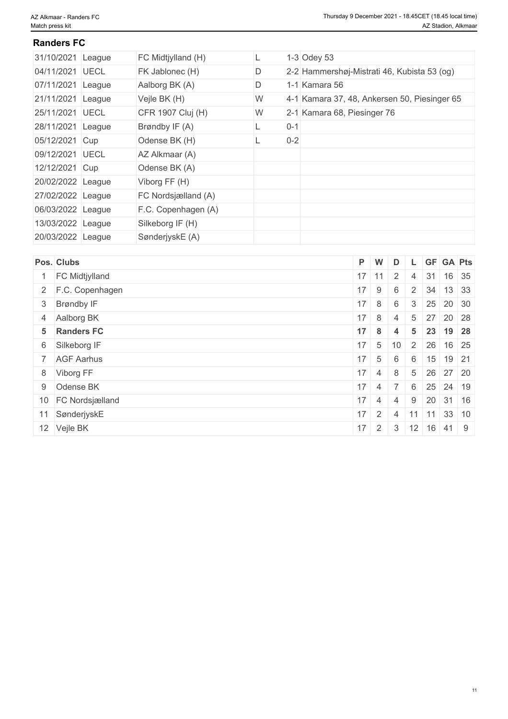#### **Randers FC**

| 31/10/2021 League | FC Midtjylland (H)  |   |         | $1-3$ Odey 53                                |
|-------------------|---------------------|---|---------|----------------------------------------------|
| 04/11/2021 UECL   | FK Jablonec (H)     | D |         | 2-2 Hammershøj-Mistrati 46, Kubista 53 (og)  |
| 07/11/2021 League | Aalborg BK (A)      | D |         | 1-1 Kamara 56                                |
| 21/11/2021 League | Vejle BK (H)        | W |         | 4-1 Kamara 37, 48, Ankersen 50, Piesinger 65 |
| 25/11/2021 UECL   | CFR 1907 Cluj (H)   | W |         | 2-1 Kamara 68, Piesinger 76                  |
| 28/11/2021 League | Brøndby IF (A)      |   | $0 - 1$ |                                              |
| 05/12/2021 Cup    | Odense BK (H)       |   | $0 - 2$ |                                              |
| 09/12/2021 UECL   | AZ Alkmaar (A)      |   |         |                                              |
| 12/12/2021 Cup    | Odense BK (A)       |   |         |                                              |
| 20/02/2022 League | Viborg FF (H)       |   |         |                                              |
| 27/02/2022 League | FC Nordsjælland (A) |   |         |                                              |
| 06/03/2022 League | F.C. Copenhagen (A) |   |         |                                              |
| 13/03/2022 League | Silkeborg IF (H)    |   |         |                                              |
| 20/03/2022 League | SønderjyskE (A)     |   |         |                                              |

| Pos. Clubs         | P W |                      | D                    |  | L GF GA Pts                     |  |
|--------------------|-----|----------------------|----------------------|--|---------------------------------|--|
| FC Midtjylland     |     |                      | $17$ 11 2            |  | 4 31 16 35                      |  |
| 2 F.C. Copenhagen  |     | $17$ 9               | 6                    |  | 2 34 13 33                      |  |
| 3 Brøndby IF       |     | $17 \mid 8 \mid 6$   |                      |  | $3 \mid 25 \mid 20 \mid 30$     |  |
| 4 Aalborg BK       |     | $17 \quad 8 \quad 4$ |                      |  | $5 \mid 27 \mid 20 \mid 28$     |  |
| 5 Randers FC       |     |                      | $17 \quad 8 \quad 4$ |  | $5 \mid 23 \mid 19 \mid 28$     |  |
| 6 Silkeborg IF     |     |                      |                      |  | $17$ 5 10 2 26 16 25            |  |
| 7 AGF Aarhus       |     | $17 \quad 5$         | 6                    |  | $6$ 15 19 21                    |  |
| 8 Viborg FF        |     |                      |                      |  | $17$ 4 8 5 26 27 20             |  |
| 9 Odense BK        |     |                      |                      |  | $17$ 4 7 6 25 24 19             |  |
| 10 FC Nordsjælland |     | $17 \quad 4 \quad 4$ |                      |  | $9 \mid 20 \mid 31 \mid 16$     |  |
| 11 SønderjyskE     |     | $17 \mid 2 \mid$     | $\overline{4}$       |  | $11$ 11 33 10                   |  |
| 12 Vejle BK        |     |                      |                      |  | $17$   2   3   12   16   41   9 |  |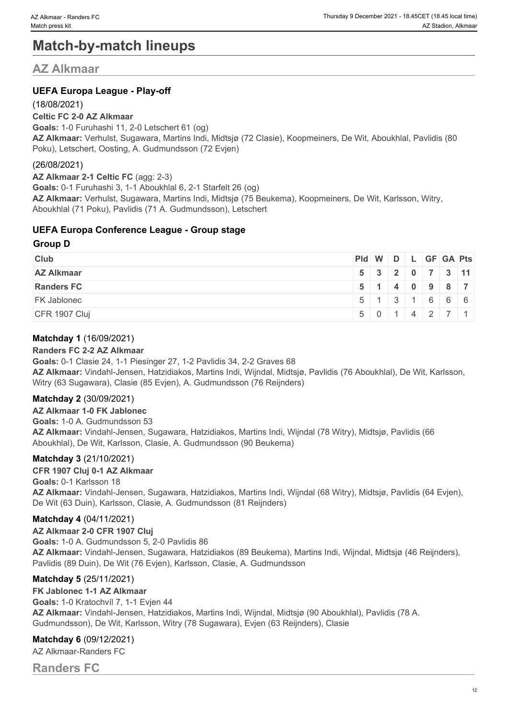# **Match-by-match lineups**

### **AZ Alkmaar**

#### **UEFA Europa League - Play-off**

#### (18/08/2021)

#### **Celtic FC 2-0 AZ Alkmaar**

**Goals:** 1-0 Furuhashi 11, 2-0 Letschert 61 (og) **AZ Alkmaar:** Verhulst, Sugawara, Martins Indi, Midtsjø (72 Clasie), Koopmeiners, De Wit, Aboukhlal, Pavlidis (80 Poku), Letschert, Oosting, A. Gudmundsson (72 Evjen)

#### (26/08/2021)

**AZ Alkmaar 2-1 Celtic FC** (agg: 2-3) **Goals:** 0-1 Furuhashi 3, 1-1 Aboukhlal 6, 2-1 Starfelt 26 (og) **AZ Alkmaar:** Verhulst, Sugawara, Martins Indi, Midtsjø (75 Beukema), Koopmeiners, De Wit, Karlsson, Witry, Aboukhlal (71 Poku), Pavlidis (71 A. Gudmundsson), Letschert

#### **UEFA Europa Conference League - Group stage**

#### **Group D**

| <b>Club</b>        | $ PId $ W $ D $ L $ GF GA Pts $ |  |  |                                               |  |
|--------------------|---------------------------------|--|--|-----------------------------------------------|--|
| <b>AZ Alkmaar</b>  |                                 |  |  | 5 3 2 0 7 3 11                                |  |
| <b>Randers FC</b>  |                                 |  |  | 5 1 4 0 9 8 7                                 |  |
| <b>FK Jablonec</b> |                                 |  |  | $5 \mid 1 \mid 3 \mid 1 \mid 6 \mid 6 \mid 6$ |  |
| CFR 1907 Cluj      |                                 |  |  | 5 0 1 4 2 7 1                                 |  |

#### **Matchday 1** (16/09/2021)

#### **Randers FC 2-2 AZ Alkmaar**

**Goals:** 0-1 Clasie 24, 1-1 Piesinger 27, 1-2 Pavlidis 34, 2-2 Graves 68 **AZ Alkmaar:** Vindahl-Jensen, Hatzidiakos, Martins Indi, Wijndal, Midtsjø, Pavlidis (76 Aboukhlal), De Wit, Karlsson, Witry (63 Sugawara), Clasie (85 Evjen), A. Gudmundsson (76 Reijnders)

#### **Matchday 2** (30/09/2021)

**AZ Alkmaar 1-0 FK Jablonec Goals:** 1-0 A. Gudmundsson 53 **AZ Alkmaar:** Vindahl-Jensen, Sugawara, Hatzidiakos, Martins Indi, Wijndal (78 Witry), Midtsjø, Pavlidis (66 Aboukhlal), De Wit, Karlsson, Clasie, A. Gudmundsson (90 Beukema)

#### **Matchday 3** (21/10/2021)

#### **CFR 1907 Cluj 0-1 AZ Alkmaar**

**Goals:** 0-1 Karlsson 18 **AZ Alkmaar:** Vindahl-Jensen, Sugawara, Hatzidiakos, Martins Indi, Wijndal (68 Witry), Midtsjø, Pavlidis (64 Evjen), De Wit (63 Duin), Karlsson, Clasie, A. Gudmundsson (81 Reijnders)

#### **Matchday 4** (04/11/2021)

**AZ Alkmaar 2-0 CFR 1907 Cluj Goals:** 1-0 A. Gudmundsson 5, 2-0 Pavlidis 86 **AZ Alkmaar:** Vindahl-Jensen, Sugawara, Hatzidiakos (89 Beukema), Martins Indi, Wijndal, Midtsjø (46 Reijnders), Pavlidis (89 Duin), De Wit (76 Evjen), Karlsson, Clasie, A. Gudmundsson

#### **Matchday 5** (25/11/2021)

**FK Jablonec 1-1 AZ Alkmaar Goals:** 1-0 Kratochvíl 7, 1-1 Evjen 44 **AZ Alkmaar:** Vindahl-Jensen, Hatzidiakos, Martins Indi, Wijndal, Midtsjø (90 Aboukhlal), Pavlidis (78 A. Gudmundsson), De Wit, Karlsson, Witry (78 Sugawara), Evjen (63 Reijnders), Clasie

#### **Matchday 6** (09/12/2021)

AZ Alkmaar-Randers FC

**Randers FC**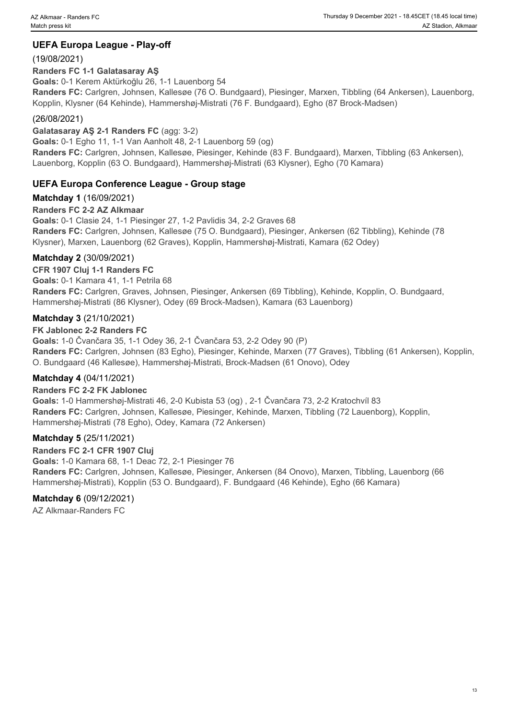#### **UEFA Europa League - Play-off**

#### (19/08/2021)

#### **Randers FC 1-1 Galatasaray AŞ**

**Goals:** 0-1 Kerem Aktürkoğlu 26, 1-1 Lauenborg 54

**Randers FC:** Carlgren, Johnsen, Kallesøe (76 O. Bundgaard), Piesinger, Marxen, Tibbling (64 Ankersen), Lauenborg, Kopplin, Klysner (64 Kehinde), Hammershøj-Mistrati (76 F. Bundgaard), Egho (87 Brock-Madsen)

#### (26/08/2021)

#### **Galatasaray AŞ 2-1 Randers FC** (agg: 3-2)

**Goals:** 0-1 Egho 11, 1-1 Van Aanholt 48, 2-1 Lauenborg 59 (og) **Randers FC:** Carlgren, Johnsen, Kallesøe, Piesinger, Kehinde (83 F. Bundgaard), Marxen, Tibbling (63 Ankersen), Lauenborg, Kopplin (63 O. Bundgaard), Hammershøj-Mistrati (63 Klysner), Egho (70 Kamara)

#### **UEFA Europa Conference League - Group stage**

#### **Matchday 1** (16/09/2021)

#### **Randers FC 2-2 AZ Alkmaar**

**Goals:** 0-1 Clasie 24, 1-1 Piesinger 27, 1-2 Pavlidis 34, 2-2 Graves 68 **Randers FC:** Carlgren, Johnsen, Kallesøe (75 O. Bundgaard), Piesinger, Ankersen (62 Tibbling), Kehinde (78 Klysner), Marxen, Lauenborg (62 Graves), Kopplin, Hammershøj-Mistrati, Kamara (62 Odey)

#### **Matchday 2** (30/09/2021)

#### **CFR 1907 Cluj 1-1 Randers FC**

**Goals:** 0-1 Kamara 41, 1-1 Petrila 68

**Randers FC:** Carlgren, Graves, Johnsen, Piesinger, Ankersen (69 Tibbling), Kehinde, Kopplin, O. Bundgaard, Hammershøj-Mistrati (86 Klysner), Odey (69 Brock-Madsen), Kamara (63 Lauenborg)

#### **Matchday 3** (21/10/2021)

#### **FK Jablonec 2-2 Randers FC**

**Goals:** 1-0 Čvančara 35, 1-1 Odey 36, 2-1 Čvančara 53, 2-2 Odey 90 (P) **Randers FC:** Carlgren, Johnsen (83 Egho), Piesinger, Kehinde, Marxen (77 Graves), Tibbling (61 Ankersen), Kopplin, O. Bundgaard (46 Kallesøe), Hammershøj-Mistrati, Brock-Madsen (61 Onovo), Odey

#### **Matchday 4** (04/11/2021)

#### **Randers FC 2-2 FK Jablonec**

**Goals:** 1-0 Hammershøj-Mistrati 46, 2-0 Kubista 53 (og) , 2-1 Čvančara 73, 2-2 Kratochvíl 83 **Randers FC:** Carlgren, Johnsen, Kallesøe, Piesinger, Kehinde, Marxen, Tibbling (72 Lauenborg), Kopplin, Hammershøj-Mistrati (78 Egho), Odey, Kamara (72 Ankersen)

#### **Matchday 5** (25/11/2021)

**Randers FC 2-1 CFR 1907 Cluj Goals:** 1-0 Kamara 68, 1-1 Deac 72, 2-1 Piesinger 76 **Randers FC:** Carlgren, Johnsen, Kallesøe, Piesinger, Ankersen (84 Onovo), Marxen, Tibbling, Lauenborg (66 Hammershøj-Mistrati), Kopplin (53 O. Bundgaard), F. Bundgaard (46 Kehinde), Egho (66 Kamara)

#### **Matchday 6** (09/12/2021)

AZ Alkmaar-Randers FC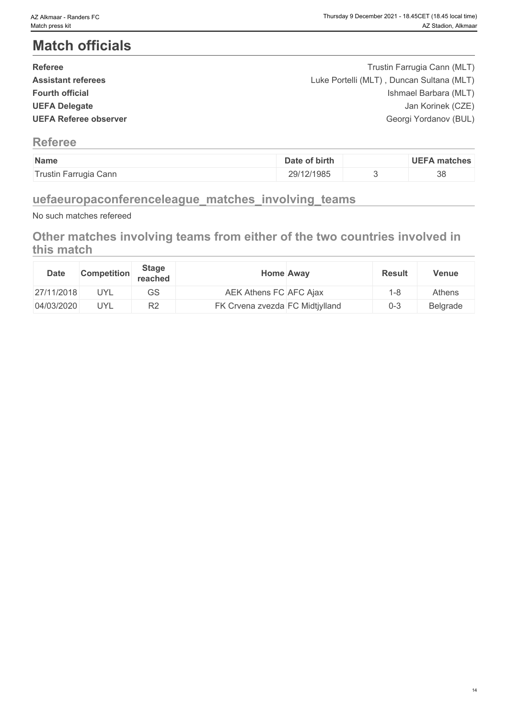# **Match officials**

| <b>Referee</b>               | Trustin Farrugia Cann (MLT)               |  |
|------------------------------|-------------------------------------------|--|
| <b>Assistant referees</b>    | Luke Portelli (MLT), Duncan Sultana (MLT) |  |
| <b>Fourth official</b>       | Ishmael Barbara (MLT)                     |  |
| <b>UEFA Delegate</b>         | Jan Korinek (CZE)                         |  |
| <b>UEFA Referee observer</b> | Georgi Yordanov (BUL)                     |  |
|                              |                                           |  |

### **Referee**

| Name                  | of birth<br>Date | <b>UEFA matches</b> |
|-----------------------|------------------|---------------------|
| Trustin Farrugia Cann | 29/12/1985       | 38                  |

## **uefaeuropaconferenceleague\_matches\_involving\_teams**

No such matches refereed

### **Other matches involving teams from either of the two countries involved in this match**

| <b>Date</b> | <b>Competition</b> | <b>Stage</b><br>reached | <b>Home Away</b>                | <b>Result</b> | <b>Venue</b> |
|-------------|--------------------|-------------------------|---------------------------------|---------------|--------------|
| 27/11/2018  | <b>UYL</b>         | GS                      | AEK Athens FC AFC Ajax          | 1-8           | Athens       |
| 04/03/2020  | <b>UYL</b>         | R <sub>2</sub>          | FK Crvena zvezda FC Midtjylland | $0 - 3$       | Belgrade     |